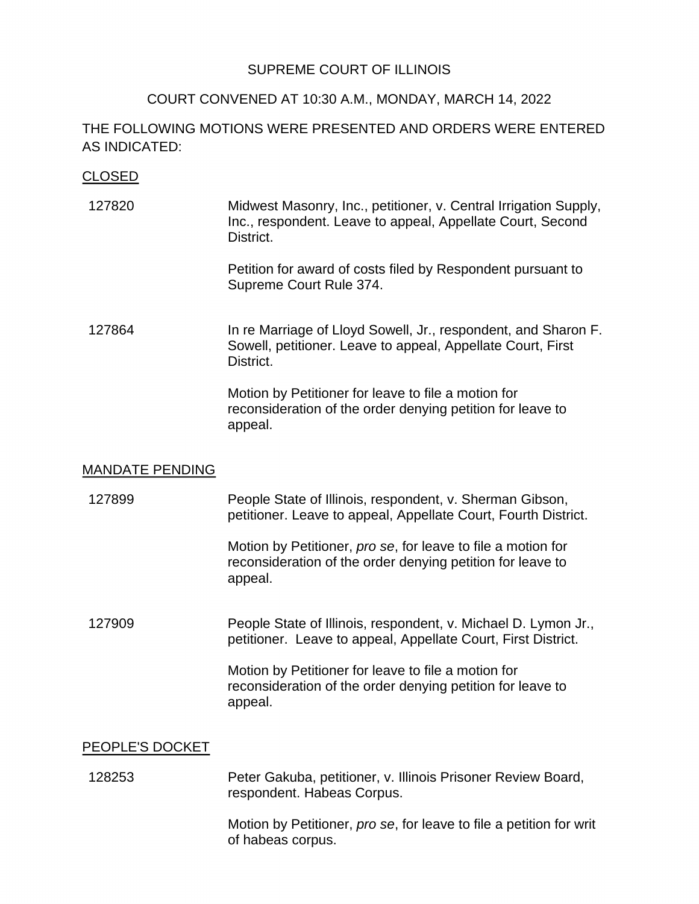### SUPREME COURT OF ILLINOIS

### COURT CONVENED AT 10:30 A.M., MONDAY, MARCH 14, 2022

## THE FOLLOWING MOTIONS WERE PRESENTED AND ORDERS WERE ENTERED AS INDICATED:

### CLOSED

127820 Midwest Masonry, Inc., petitioner, v. Central Irrigation Supply, Inc., respondent. Leave to appeal, Appellate Court, Second District.

> Petition for award of costs filed by Respondent pursuant to Supreme Court Rule 374.

127864 In re Marriage of Lloyd Sowell, Jr., respondent, and Sharon F. Sowell, petitioner. Leave to appeal, Appellate Court, First District.

> reconsideration of the order denying petition for leave to Motion by Petitioner for leave to file a motion for appeal.

#### MANDATE PENDING

127899 People State of Illinois, respondent, v. Sherman Gibson, petitioner. Leave to appeal, Appellate Court, Fourth District.

> reconsideration of the order denying petition for leave to Motion by Petitioner, *pro se*, for leave to file a motion for appeal.

 petitioner. Leave to appeal, Appellate Court, First District. 127909 People State of Illinois, respondent, v. Michael D. Lymon Jr.,

> reconsideration of the order denying petition for leave to Motion by Petitioner for leave to file a motion for appeal.

#### PEOPLE'S DOCKET

 128253 Peter Gakuba, petitioner, v. Illinois Prisoner Review Board, respondent. Habeas Corpus.

> Motion by Petitioner, *pro se*, for leave to file a petition for writ of habeas corpus.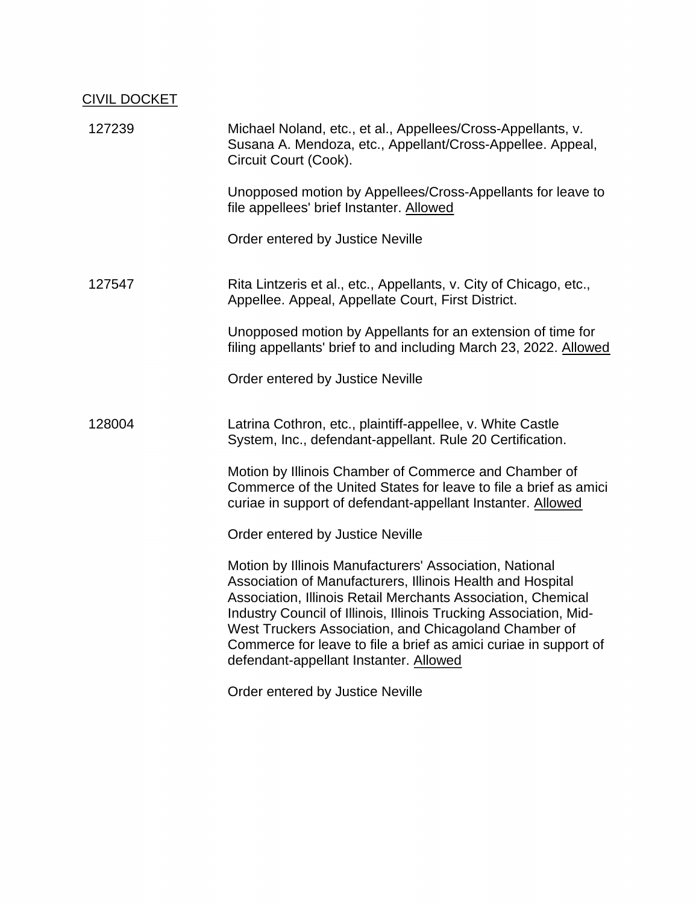# CIVIL DOCKET

| 127239 | Michael Noland, etc., et al., Appellees/Cross-Appellants, v.<br>Susana A. Mendoza, etc., Appellant/Cross-Appellee. Appeal,<br>Circuit Court (Cook).                                                                                                        |
|--------|------------------------------------------------------------------------------------------------------------------------------------------------------------------------------------------------------------------------------------------------------------|
|        | Unopposed motion by Appellees/Cross-Appellants for leave to<br>file appellees' brief Instanter. Allowed                                                                                                                                                    |
|        | Order entered by Justice Neville                                                                                                                                                                                                                           |
| 127547 | Rita Lintzeris et al., etc., Appellants, v. City of Chicago, etc.,<br>Appellee. Appeal, Appellate Court, First District.                                                                                                                                   |
|        | Unopposed motion by Appellants for an extension of time for<br>filing appellants' brief to and including March 23, 2022. Allowed                                                                                                                           |
|        | Order entered by Justice Neville                                                                                                                                                                                                                           |
| 128004 | Latrina Cothron, etc., plaintiff-appellee, v. White Castle<br>System, Inc., defendant-appellant. Rule 20 Certification.                                                                                                                                    |
|        | Motion by Illinois Chamber of Commerce and Chamber of<br>Commerce of the United States for leave to file a brief as amici<br>curiae in support of defendant-appellant Instanter. Allowed                                                                   |
|        | Order entered by Justice Neville                                                                                                                                                                                                                           |
|        | Motion by Illinois Manufacturers' Association, National<br>Association of Manufacturers, Illinois Health and Hospital<br>Association, Illinois Retail Merchants Association, Chemical<br>Industry Council of Illinois, Illinois Trucking Association, Mid- |
|        | West Truckers Association, and Chicagoland Chamber of<br>Commerce for leave to file a brief as amici curiae in support of<br>defendant-appellant Instanter. Allowed                                                                                        |